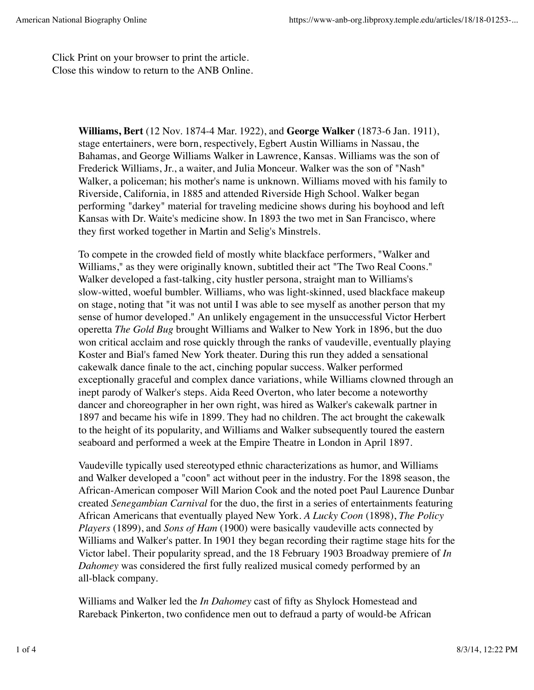Click Print on your browser to print the article. Close this window to return to the ANB Online.

> **Williams, Bert** (12 Nov. 1874-4 Mar. 1922), and **George Walker** (1873-6 Jan. 1911), stage entertainers, were born, respectively, Egbert Austin Williams in Nassau, the Bahamas, and George Williams Walker in Lawrence, Kansas. Williams was the son of Frederick Williams, Jr., a waiter, and Julia Monceur. Walker was the son of "Nash" Walker, a policeman; his mother's name is unknown. Williams moved with his family to Riverside, California, in 1885 and attended Riverside High School. Walker began performing "darkey" material for traveling medicine shows during his boyhood and left Kansas with Dr. Waite's medicine show. In 1893 the two met in San Francisco, where they first worked together in Martin and Selig's Minstrels.

To compete in the crowded field of mostly white blackface performers, "Walker and Williams," as they were originally known, subtitled their act "The Two Real Coons." Walker developed a fast-talking, city hustler persona, straight man to Williams's slow-witted, woeful bumbler. Williams, who was light-skinned, used blackface makeup on stage, noting that "it was not until I was able to see myself as another person that my sense of humor developed." An unlikely engagement in the unsuccessful Victor Herbert operetta *The Gold Bug* brought Williams and Walker to New York in 1896, but the duo won critical acclaim and rose quickly through the ranks of vaudeville, eventually playing Koster and Bial's famed New York theater. During this run they added a sensational cakewalk dance finale to the act, cinching popular success. Walker performed exceptionally graceful and complex dance variations, while Williams clowned through an inept parody of Walker's steps. Aida Reed Overton, who later become a noteworthy dancer and choreographer in her own right, was hired as Walker's cakewalk partner in 1897 and became his wife in 1899. They had no children. The act brought the cakewalk to the height of its popularity, and Williams and Walker subsequently toured the eastern seaboard and performed a week at the Empire Theatre in London in April 1897.

Vaudeville typically used stereotyped ethnic characterizations as humor, and Williams and Walker developed a "coon" act without peer in the industry. For the 1898 season, the African-American composer Will Marion Cook and the noted poet Paul Laurence Dunbar created *Senegambian Carnival* for the duo, the first in a series of entertainments featuring African Americans that eventually played New York. *A Lucky Coon* (1898), *The Policy Players* (1899), and *Sons of Ham* (1900) were basically vaudeville acts connected by Williams and Walker's patter. In 1901 they began recording their ragtime stage hits for the Victor label. Their popularity spread, and the 18 February 1903 Broadway premiere of *In Dahomey* was considered the first fully realized musical comedy performed by an all-black company.

Williams and Walker led the *In Dahomey* cast of fifty as Shylock Homestead and Rareback Pinkerton, two confidence men out to defraud a party of would-be African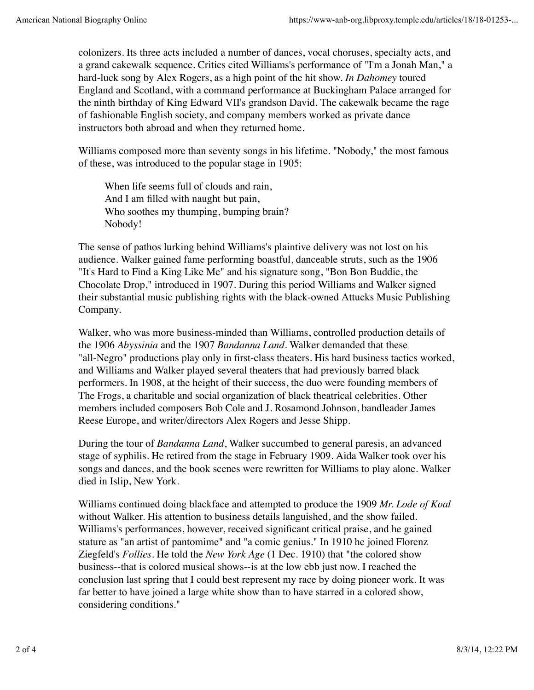colonizers. Its three acts included a number of dances, vocal choruses, specialty acts, and a grand cakewalk sequence. Critics cited Williams's performance of "I'm a Jonah Man," a hard-luck song by Alex Rogers, as a high point of the hit show. *In Dahomey* toured England and Scotland, with a command performance at Buckingham Palace arranged for the ninth birthday of King Edward VII's grandson David. The cakewalk became the rage of fashionable English society, and company members worked as private dance instructors both abroad and when they returned home.

Williams composed more than seventy songs in his lifetime. "Nobody," the most famous of these, was introduced to the popular stage in 1905:

When life seems full of clouds and rain, And I am filled with naught but pain, Who soothes my thumping, bumping brain? Nobody!

The sense of pathos lurking behind Williams's plaintive delivery was not lost on his audience. Walker gained fame performing boastful, danceable struts, such as the 1906 "It's Hard to Find a King Like Me" and his signature song, "Bon Bon Buddie, the Chocolate Drop," introduced in 1907. During this period Williams and Walker signed their substantial music publishing rights with the black-owned Attucks Music Publishing Company.

Walker, who was more business-minded than Williams, controlled production details of the 1906 *Abyssinia* and the 1907 *Bandanna Land*. Walker demanded that these "all-Negro" productions play only in first-class theaters. His hard business tactics worked, and Williams and Walker played several theaters that had previously barred black performers. In 1908, at the height of their success, the duo were founding members of The Frogs, a charitable and social organization of black theatrical celebrities. Other members included composers Bob Cole and J. Rosamond Johnson, bandleader James Reese Europe, and writer/directors Alex Rogers and Jesse Shipp.

During the tour of *Bandanna Land*, Walker succumbed to general paresis, an advanced stage of syphilis. He retired from the stage in February 1909. Aida Walker took over his songs and dances, and the book scenes were rewritten for Williams to play alone. Walker died in Islip, New York.

Williams continued doing blackface and attempted to produce the 1909 *Mr. Lode of Koal* without Walker. His attention to business details languished, and the show failed. Williams's performances, however, received significant critical praise, and he gained stature as "an artist of pantomime" and "a comic genius." In 1910 he joined Florenz Ziegfeld's *Follies*. He told the *New York Age* (1 Dec. 1910) that "the colored show business--that is colored musical shows--is at the low ebb just now. I reached the conclusion last spring that I could best represent my race by doing pioneer work. It was far better to have joined a large white show than to have starred in a colored show, considering conditions."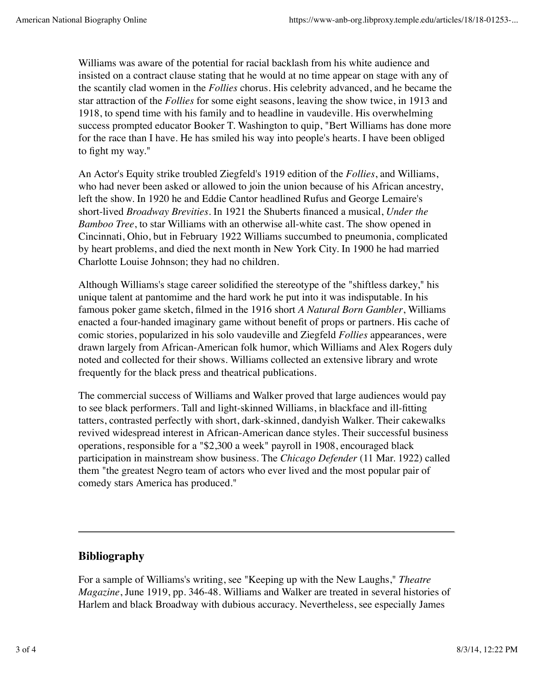Williams was aware of the potential for racial backlash from his white audience and insisted on a contract clause stating that he would at no time appear on stage with any of the scantily clad women in the *Follies* chorus. His celebrity advanced, and he became the star attraction of the *Follies* for some eight seasons, leaving the show twice, in 1913 and 1918, to spend time with his family and to headline in vaudeville. His overwhelming success prompted educator Booker T. Washington to quip, "Bert Williams has done more for the race than I have. He has smiled his way into people's hearts. I have been obliged to fight my way."

An Actor's Equity strike troubled Ziegfeld's 1919 edition of the *Follies*, and Williams, who had never been asked or allowed to join the union because of his African ancestry, left the show. In 1920 he and Eddie Cantor headlined Rufus and George Lemaire's short-lived *Broadway Brevities*. In 1921 the Shuberts financed a musical, *Under the Bamboo Tree*, to star Williams with an otherwise all-white cast. The show opened in Cincinnati, Ohio, but in February 1922 Williams succumbed to pneumonia, complicated by heart problems, and died the next month in New York City. In 1900 he had married Charlotte Louise Johnson; they had no children.

Although Williams's stage career solidified the stereotype of the "shiftless darkey," his unique talent at pantomime and the hard work he put into it was indisputable. In his famous poker game sketch, filmed in the 1916 short *A Natural Born Gambler*, Williams enacted a four-handed imaginary game without benefit of props or partners. His cache of comic stories, popularized in his solo vaudeville and Ziegfeld *Follies* appearances, were drawn largely from African-American folk humor, which Williams and Alex Rogers duly noted and collected for their shows. Williams collected an extensive library and wrote frequently for the black press and theatrical publications.

The commercial success of Williams and Walker proved that large audiences would pay to see black performers. Tall and light-skinned Williams, in blackface and ill-fitting tatters, contrasted perfectly with short, dark-skinned, dandyish Walker. Their cakewalks revived widespread interest in African-American dance styles. Their successful business operations, responsible for a "\$2,300 a week" payroll in 1908, encouraged black participation in mainstream show business. The *Chicago Defender* (11 Mar. 1922) called them "the greatest Negro team of actors who ever lived and the most popular pair of comedy stars America has produced."

## **Bibliography**

For a sample of Williams's writing, see "Keeping up with the New Laughs," *Theatre Magazine*, June 1919, pp. 346-48. Williams and Walker are treated in several histories of Harlem and black Broadway with dubious accuracy. Nevertheless, see especially James